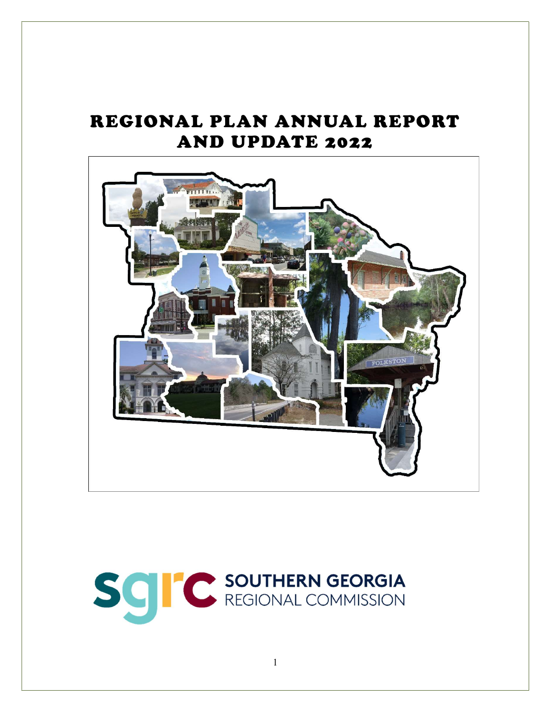# REGIONAL PLAN ANNUAL REPORT AND UPDATE 2022



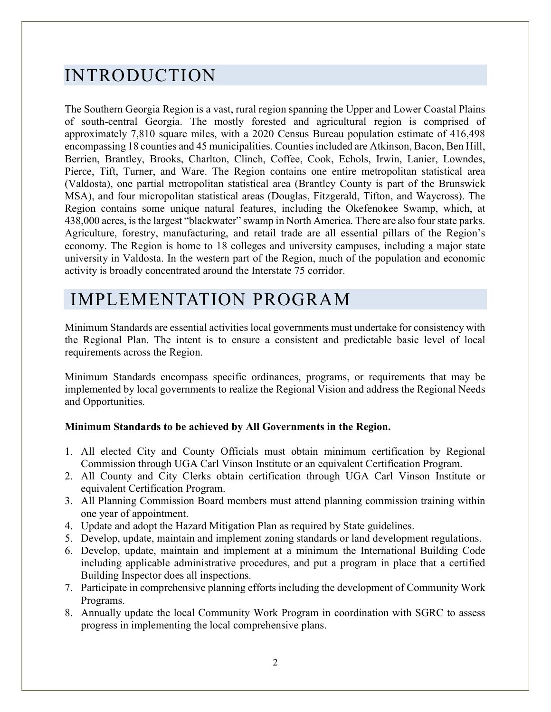## INTRODUCTION

The Southern Georgia Region is a vast, rural region spanning the Upper and Lower Coastal Plains of south-central Georgia. The mostly forested and agricultural region is comprised of approximately 7,810 square miles, with a 2020 Census Bureau population estimate of 416,498 encompassing 18 counties and 45 municipalities. Counties included are Atkinson, Bacon, Ben Hill, Berrien, Brantley, Brooks, Charlton, Clinch, Coffee, Cook, Echols, Irwin, Lanier, Lowndes, Pierce, Tift, Turner, and Ware. The Region contains one entire metropolitan statistical area (Valdosta), one partial metropolitan statistical area (Brantley County is part of the Brunswick MSA), and four micropolitan statistical areas (Douglas, Fitzgerald, Tifton, and Waycross). The Region contains some unique natural features, including the Okefenokee Swamp, which, at 438,000 acres, is the largest "blackwater" swamp in North America. There are also four state parks. Agriculture, forestry, manufacturing, and retail trade are all essential pillars of the Region's economy. The Region is home to 18 colleges and university campuses, including a major state university in Valdosta. In the western part of the Region, much of the population and economic activity is broadly concentrated around the Interstate 75 corridor.

## IMPLEMENTATION PROGRAM

Minimum Standards are essential activities local governments must undertake for consistency with the Regional Plan. The intent is to ensure a consistent and predictable basic level of local requirements across the Region.

Minimum Standards encompass specific ordinances, programs, or requirements that may be implemented by local governments to realize the Regional Vision and address the Regional Needs and Opportunities.

#### Minimum Standards to be achieved by All Governments in the Region.

- 1. All elected City and County Officials must obtain minimum certification by Regional Commission through UGA Carl Vinson Institute or an equivalent Certification Program.
- 2. All County and City Clerks obtain certification through UGA Carl Vinson Institute or equivalent Certification Program.
- 3. All Planning Commission Board members must attend planning commission training within one year of appointment.
- 4. Update and adopt the Hazard Mitigation Plan as required by State guidelines.
- 5. Develop, update, maintain and implement zoning standards or land development regulations.
- 6. Develop, update, maintain and implement at a minimum the International Building Code including applicable administrative procedures, and put a program in place that a certified Building Inspector does all inspections.
- 7. Participate in comprehensive planning efforts including the development of Community Work Programs.
- 8. Annually update the local Community Work Program in coordination with SGRC to assess progress in implementing the local comprehensive plans.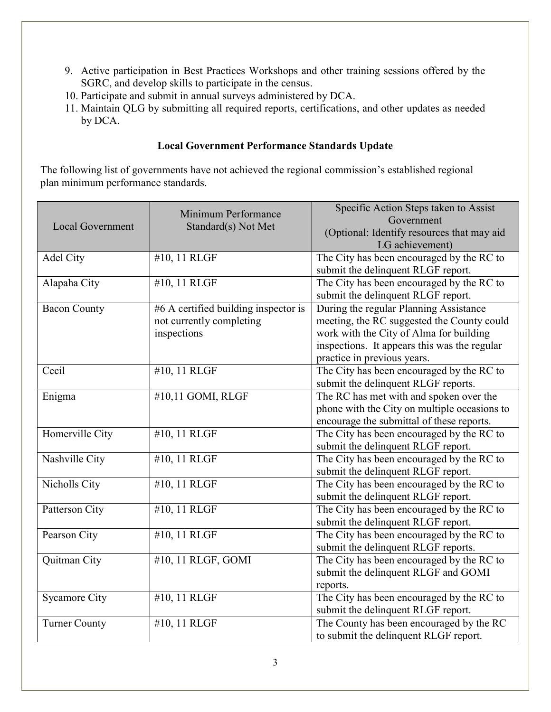- 9. Active participation in Best Practices Workshops and other training sessions offered by the SGRC, and develop skills to participate in the census.
- 10. Participate and submit in annual surveys administered by DCA.
- 11. Maintain QLG by submitting all required reports, certifications, and other updates as needed by DCA.

#### Local Government Performance Standards Update

The following list of governments have not achieved the regional commission's established regional plan minimum performance standards.

| <b>Local Government</b> | Minimum Performance<br>Standard(s) Not Met                                      | Specific Action Steps taken to Assist<br>Government<br>(Optional: Identify resources that may aid<br>LG achievement)                                                                                           |  |  |  |
|-------------------------|---------------------------------------------------------------------------------|----------------------------------------------------------------------------------------------------------------------------------------------------------------------------------------------------------------|--|--|--|
| Adel City               | #10, 11 RLGF                                                                    | The City has been encouraged by the RC to<br>submit the delinquent RLGF report.                                                                                                                                |  |  |  |
| Alapaha City            | #10, 11 RLGF                                                                    | The City has been encouraged by the RC to<br>submit the delinquent RLGF report.                                                                                                                                |  |  |  |
| <b>Bacon County</b>     | #6 A certified building inspector is<br>not currently completing<br>inspections | During the regular Planning Assistance<br>meeting, the RC suggested the County could<br>work with the City of Alma for building<br>inspections. It appears this was the regular<br>practice in previous years. |  |  |  |
| Cecil                   | #10, 11 RLGF                                                                    | The City has been encouraged by the RC to<br>submit the delinquent RLGF reports.                                                                                                                               |  |  |  |
| Enigma                  | #10,11 GOMI, RLGF                                                               | The RC has met with and spoken over the<br>phone with the City on multiple occasions to<br>encourage the submittal of these reports.                                                                           |  |  |  |
| Homerville City         | #10, 11 RLGF                                                                    | The City has been encouraged by the RC to<br>submit the delinquent RLGF report.                                                                                                                                |  |  |  |
| Nashville City          | #10, 11 RLGF                                                                    | The City has been encouraged by the RC to<br>submit the delinquent RLGF report.                                                                                                                                |  |  |  |
| Nicholls City           | #10, 11 RLGF                                                                    | The City has been encouraged by the RC to<br>submit the delinquent RLGF report.                                                                                                                                |  |  |  |
| Patterson City          | #10, 11 RLGF                                                                    | The City has been encouraged by the RC to<br>submit the delinquent RLGF report.                                                                                                                                |  |  |  |
| Pearson City            | #10, 11 RLGF                                                                    | The City has been encouraged by the RC to<br>submit the delinquent RLGF reports.                                                                                                                               |  |  |  |
| Quitman City            | #10, 11 RLGF, GOMI                                                              | The City has been encouraged by the RC to<br>submit the delinquent RLGF and GOMI<br>reports.                                                                                                                   |  |  |  |
| <b>Sycamore City</b>    | #10, 11 RLGF                                                                    | The City has been encouraged by the RC to<br>submit the delinquent RLGF report.                                                                                                                                |  |  |  |
| <b>Turner County</b>    | #10, 11 RLGF                                                                    | The County has been encouraged by the RC<br>to submit the delinquent RLGF report.                                                                                                                              |  |  |  |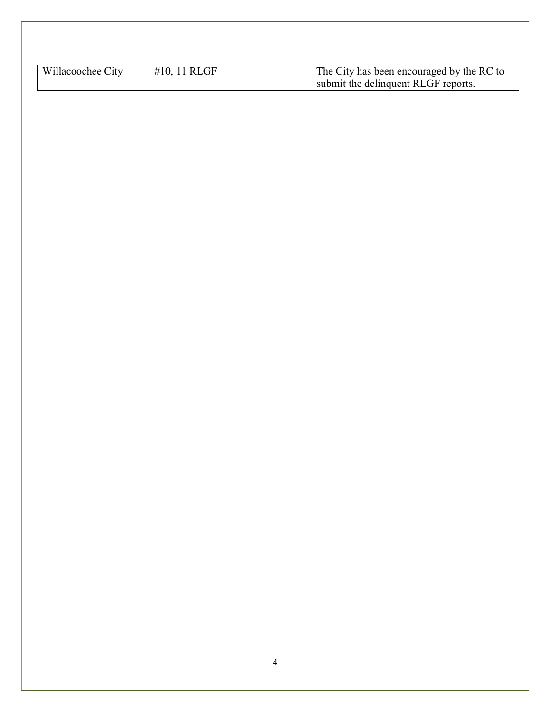| Willacoochee City | #10, 11 RLGF | The City has been encouraged by the RC to<br>submit the delinquent RLGF reports. |
|-------------------|--------------|----------------------------------------------------------------------------------|
|                   |              |                                                                                  |
|                   |              |                                                                                  |
|                   |              |                                                                                  |
|                   |              |                                                                                  |
|                   |              |                                                                                  |
|                   |              |                                                                                  |
|                   |              |                                                                                  |
|                   |              |                                                                                  |
|                   |              |                                                                                  |
|                   |              |                                                                                  |
|                   |              |                                                                                  |
|                   |              |                                                                                  |
|                   |              |                                                                                  |
|                   |              |                                                                                  |
|                   |              |                                                                                  |
|                   |              |                                                                                  |
|                   |              |                                                                                  |
|                   |              |                                                                                  |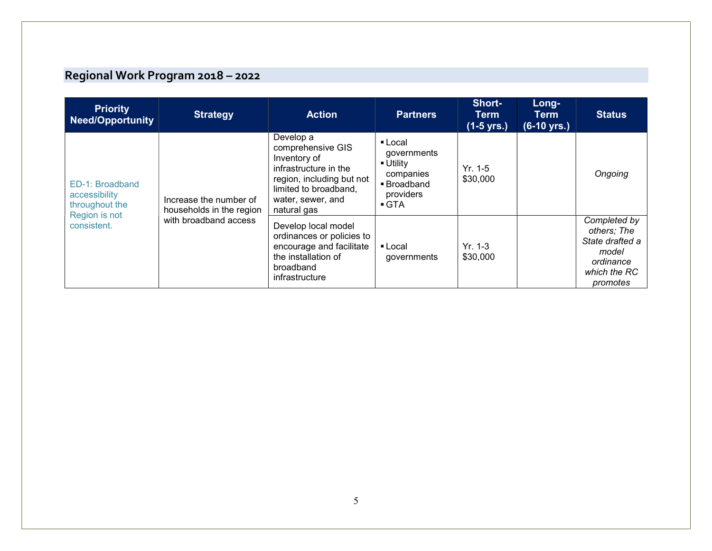### Regional Work Program 2018 – 2022

| <b>Priority</b><br><b>Need/Opportunity</b>                                         | <b>Strategy</b>                                                             | <b>Action</b>                                                                                                                                                     | <b>Partners</b>                                                                                                 | Short-<br>Term<br>$(1-5$ yrs.) | Long-<br>Term<br>(6-10 yrs.) | <b>Status</b>                                                                                    |
|------------------------------------------------------------------------------------|-----------------------------------------------------------------------------|-------------------------------------------------------------------------------------------------------------------------------------------------------------------|-----------------------------------------------------------------------------------------------------------------|--------------------------------|------------------------------|--------------------------------------------------------------------------------------------------|
| ED-1: Broadband<br>accessibility<br>throughout the<br>Region is not<br>consistent. | Increase the number of<br>households in the region<br>with broadband access | Develop a<br>comprehensive GIS<br>Inventory of<br>infrastructure in the<br>region, including but not<br>limited to broadband,<br>water, sewer, and<br>natural gas | ■ Local<br>governments<br>$\blacksquare$ Utility<br>companies<br>■ Broadband<br>providers<br>$\blacksquare$ GTA | $Yr. 1-5$<br>\$30,000          |                              | Ongoing                                                                                          |
|                                                                                    |                                                                             | Develop local model<br>ordinances or policies to<br>encourage and facilitate<br>the installation of<br>broadband<br>infrastructure                                | ■ Local<br>governments                                                                                          | $Yr. 1-3$<br>\$30,000          |                              | Completed by<br>others; The<br>State drafted a<br>model<br>ordinance<br>which the RC<br>promotes |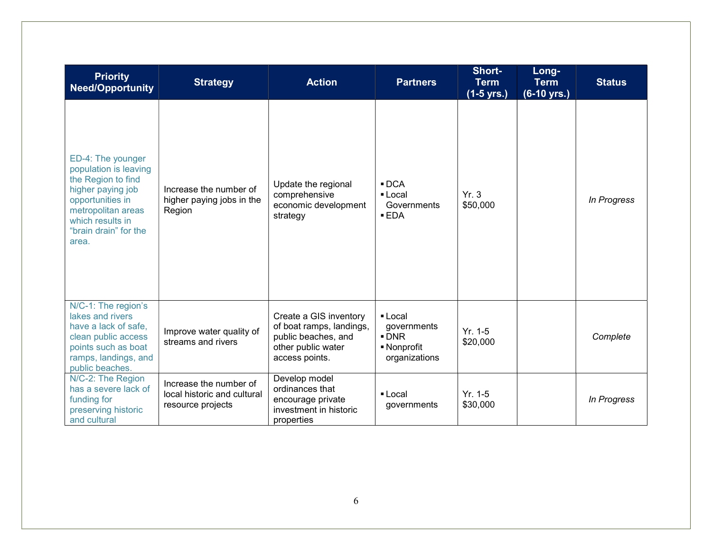| <b>Priority</b><br><b>Need/Opportunity</b>                                                                                                                                            | <b>Strategy</b>                                                            | <b>Action</b>                                                                                                     | <b>Partners</b>                                                              | Short-<br><b>Term</b><br>$(1-5$ yrs.) | Long-<br><b>Term</b><br>$(6-10 \text{ yrs.})$ | <b>Status</b> |
|---------------------------------------------------------------------------------------------------------------------------------------------------------------------------------------|----------------------------------------------------------------------------|-------------------------------------------------------------------------------------------------------------------|------------------------------------------------------------------------------|---------------------------------------|-----------------------------------------------|---------------|
| ED-4: The younger<br>population is leaving<br>the Region to find<br>higher paying job<br>opportunities in<br>metropolitan areas<br>which results in<br>"brain drain" for the<br>area. | Increase the number of<br>higher paying jobs in the<br>Region              | Update the regional<br>comprehensive<br>economic development<br>strategy                                          | $\blacksquare$ DCA<br>• Local<br>Governments<br>EDA                          | Yr.3<br>\$50,000                      |                                               | In Progress   |
| N/C-1: The region's<br>lakes and rivers<br>have a lack of safe,<br>clean public access<br>points such as boat<br>ramps, landings, and<br>public beaches.                              | Improve water quality of<br>streams and rivers                             | Create a GIS inventory<br>of boat ramps, landings,<br>public beaches, and<br>other public water<br>access points. | ■ Local<br>governments<br>$\blacksquare$ DNR<br>■ Nonprofit<br>organizations | $Yr. 1-5$<br>\$20,000                 |                                               | Complete      |
| N/C-2: The Region<br>has a severe lack of<br>funding for<br>preserving historic<br>and cultural                                                                                       | Increase the number of<br>local historic and cultural<br>resource projects | Develop model<br>ordinances that<br>encourage private<br>investment in historic<br>properties                     | $\blacksquare$ Local<br>governments                                          | $Yr. 1-5$<br>\$30,000                 |                                               | In Progress   |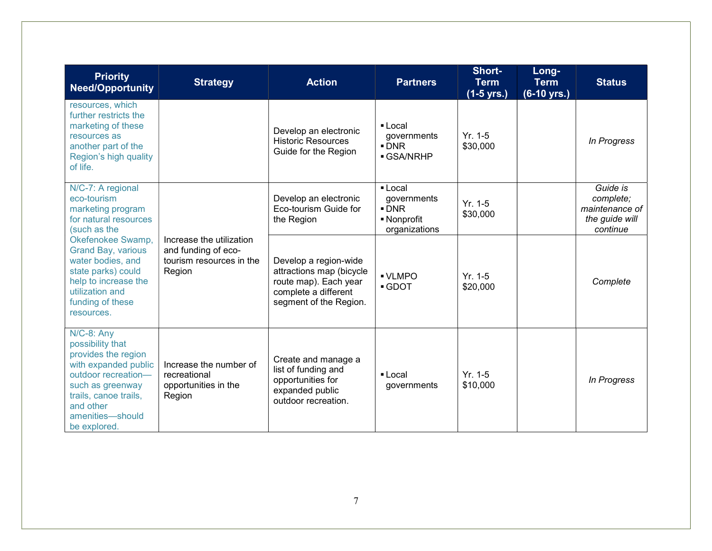| <b>Priority</b><br><b>Need/Opportunity</b>                                                                                                                                                            | <b>Strategy</b>                                                                       | <b>Action</b>                                                                                                                | <b>Partners</b>                                                              | Short-<br><b>Term</b><br>(1-5 yrs.) | Long-<br><b>Term</b><br>$(6-10 \text{ yrs.})$ | <b>Status</b>                                                         |
|-------------------------------------------------------------------------------------------------------------------------------------------------------------------------------------------------------|---------------------------------------------------------------------------------------|------------------------------------------------------------------------------------------------------------------------------|------------------------------------------------------------------------------|-------------------------------------|-----------------------------------------------|-----------------------------------------------------------------------|
| resources, which<br>further restricts the<br>marketing of these<br>resources as<br>another part of the<br>Region's high quality<br>of life.                                                           |                                                                                       | Develop an electronic<br><b>Historic Resources</b><br>Guide for the Region                                                   | $\blacksquare$ Local<br>governments<br>$\blacksquare$ DNR<br><b>GSA/NRHP</b> | $Yr. 1-5$<br>\$30,000               |                                               | In Progress                                                           |
| N/C-7: A regional<br>eco-tourism<br>marketing program<br>for natural resources<br>(such as the                                                                                                        |                                                                                       | Develop an electronic<br>Eco-tourism Guide for<br>the Region                                                                 | • Local<br>governments<br>$\blacksquare$ DNR<br>• Nonprofit<br>organizations | $Yr. 1-5$<br>\$30,000               |                                               | Guide is<br>complete;<br>maintenance of<br>the guide will<br>continue |
| Okefenokee Swamp,<br><b>Grand Bay, various</b><br>water bodies, and<br>state parks) could<br>help to increase the<br>utilization and<br>funding of these<br>resources.                                | Increase the utilization<br>and funding of eco-<br>tourism resources in the<br>Region | Develop a region-wide<br>attractions map (bicycle<br>route map). Each year<br>complete a different<br>segment of the Region. | - VLMPO<br>GDOT                                                              | $Yr. 1-5$<br>\$20,000               |                                               | Complete                                                              |
| $N/C-8$ : Any<br>possibility that<br>provides the region<br>with expanded public<br>outdoor recreation-<br>such as greenway<br>trails, canoe trails,<br>and other<br>amenities-should<br>be explored. | Increase the number of<br>recreational<br>opportunities in the<br>Region              | Create and manage a<br>list of funding and<br>opportunities for<br>expanded public<br>outdoor recreation.                    | $\blacksquare$ Local<br>governments                                          | $Yr. 1-5$<br>\$10,000               |                                               | In Progress                                                           |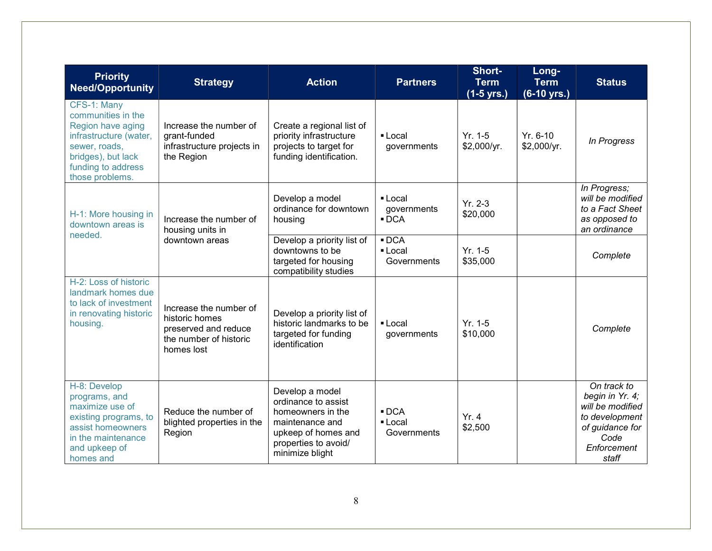| <b>Priority</b><br><b>Need/Opportunity</b>                                                                                                                       | <b>Strategy</b>                                                                                          | <b>Action</b>                                                                                                                                    | <b>Partners</b>                              | Short-<br><b>Term</b><br>$(1-5$ yrs.) | Long-<br><b>Term</b><br>(6-10 yrs.) | <b>Status</b>                                                                                                           |
|------------------------------------------------------------------------------------------------------------------------------------------------------------------|----------------------------------------------------------------------------------------------------------|--------------------------------------------------------------------------------------------------------------------------------------------------|----------------------------------------------|---------------------------------------|-------------------------------------|-------------------------------------------------------------------------------------------------------------------------|
| CFS-1: Many<br>communities in the<br>Region have aging<br>infrastructure (water,<br>sewer, roads,<br>bridges), but lack<br>funding to address<br>those problems. | Increase the number of<br>grant-funded<br>infrastructure projects in<br>the Region                       | Create a regional list of<br>priority infrastructure<br>projects to target for<br>funding identification.                                        | • Local<br>governments                       | $Yr. 1-5$<br>\$2,000/yr.              | Yr. 6-10<br>\$2,000/yr.             | In Progress                                                                                                             |
| H-1: More housing in<br>downtown areas is                                                                                                                        | Increase the number of<br>housing units in                                                               | Develop a model<br>ordinance for downtown<br>housing                                                                                             | • Local<br>governments<br>$\blacksquare$ DCA | $Yr. 2-3$<br>\$20,000                 |                                     | In Progress;<br>will be modified<br>to a Fact Sheet<br>as opposed to<br>an ordinance                                    |
| needed.                                                                                                                                                          | downtown areas                                                                                           | Develop a priority list of<br>downtowns to be<br>targeted for housing<br>compatibility studies                                                   | $\blacksquare$ DCA<br>• Local<br>Governments | $Yr. 1-5$<br>\$35,000                 |                                     | Complete                                                                                                                |
| H-2: Loss of historic<br>landmark homes due<br>to lack of investment<br>in renovating historic<br>housing.                                                       | Increase the number of<br>historic homes<br>preserved and reduce<br>the number of historic<br>homes lost | Develop a priority list of<br>historic landmarks to be<br>targeted for funding<br>identification                                                 | • Local<br>governments                       | $Yr. 1-5$<br>\$10,000                 |                                     | Complete                                                                                                                |
| H-8: Develop<br>programs, and<br>maximize use of<br>existing programs, to<br>assist homeowners<br>in the maintenance<br>and upkeep of<br>homes and               | Reduce the number of<br>blighted properties in the<br>Region                                             | Develop a model<br>ordinance to assist<br>homeowners in the<br>maintenance and<br>upkeep of homes and<br>properties to avoid/<br>minimize blight | $\blacksquare$ DCA<br>• Local<br>Governments | Yr.4<br>\$2,500                       |                                     | On track to<br>begin in Yr. 4;<br>will be modified<br>to development<br>of guidance for<br>Code<br>Enforcement<br>staff |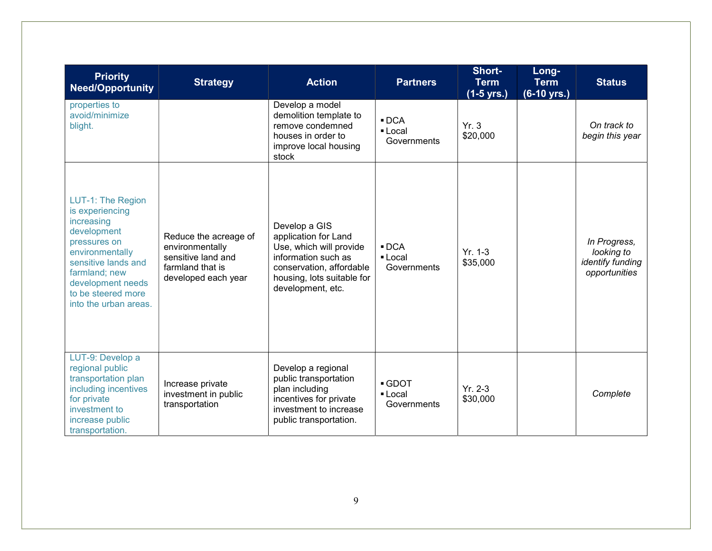| <b>Priority</b><br><b>Need/Opportunity</b>                                                                                                                                                                       | <b>Strategy</b>                                                                                           | <b>Action</b>                                                                                                                                                          | <b>Partners</b>                              | Short-<br><b>Term</b><br>$(1-5 \text{ yrs.})$ | Long-<br><b>Term</b><br>$(6-10 \text{ yrs.})$ | <b>Status</b>                                                   |
|------------------------------------------------------------------------------------------------------------------------------------------------------------------------------------------------------------------|-----------------------------------------------------------------------------------------------------------|------------------------------------------------------------------------------------------------------------------------------------------------------------------------|----------------------------------------------|-----------------------------------------------|-----------------------------------------------|-----------------------------------------------------------------|
| properties to<br>avoid/minimize<br>blight.                                                                                                                                                                       |                                                                                                           | Develop a model<br>demolition template to<br>remove condemned<br>houses in order to<br>improve local housing<br>stock                                                  | $\blacksquare$ DCA<br>• Local<br>Governments | Yr.3<br>\$20,000                              |                                               | On track to<br>begin this year                                  |
| LUT-1: The Region<br>is experiencing<br>increasing<br>development<br>pressures on<br>environmentally<br>sensitive lands and<br>farmland; new<br>development needs<br>to be steered more<br>into the urban areas. | Reduce the acreage of<br>environmentally<br>sensitive land and<br>farmland that is<br>developed each year | Develop a GIS<br>application for Land<br>Use, which will provide<br>information such as<br>conservation, affordable<br>housing, lots suitable for<br>development, etc. | $\blacksquare$ DCA<br>■ Local<br>Governments | $Yr. 1-3$<br>\$35,000                         |                                               | In Progress,<br>looking to<br>identify funding<br>opportunities |
| LUT-9: Develop a<br>regional public<br>transportation plan<br>including incentives<br>for private<br>investment to<br>increase public<br>transportation.                                                         | Increase private<br>investment in public<br>transportation                                                | Develop a regional<br>public transportation<br>plan including<br>incentives for private<br>investment to increase<br>public transportation.                            | • GDOT<br>■ Local<br>Governments             | $Yr. 2-3$<br>\$30,000                         |                                               | Complete                                                        |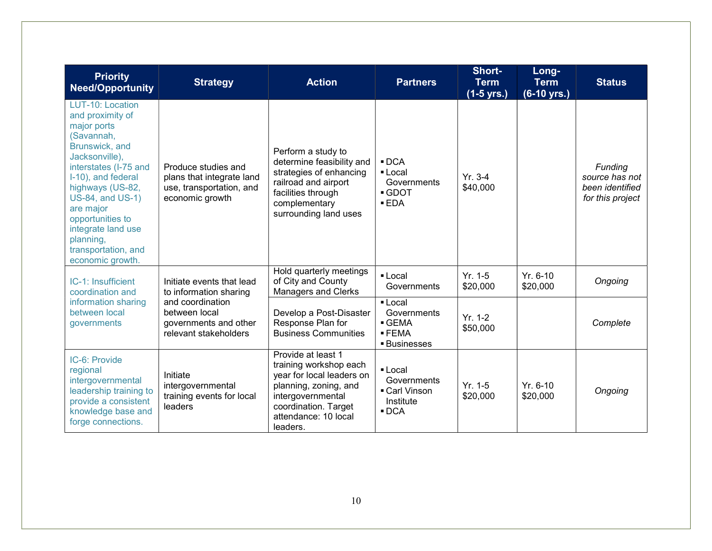| <b>Priority</b><br><b>Need/Opportunity</b>                                                                                                                                                                                                                                                                  | <b>Strategy</b>                                                                                 | <b>Action</b>                                                                                                                                                                       | <b>Partners</b>                                                                       | Short-<br><b>Term</b><br>(1-5 yrs.) | Long-<br><b>Term</b><br>$(6-10 \text{ yrs.})$ | <b>Status</b>                                                    |
|-------------------------------------------------------------------------------------------------------------------------------------------------------------------------------------------------------------------------------------------------------------------------------------------------------------|-------------------------------------------------------------------------------------------------|-------------------------------------------------------------------------------------------------------------------------------------------------------------------------------------|---------------------------------------------------------------------------------------|-------------------------------------|-----------------------------------------------|------------------------------------------------------------------|
| LUT-10: Location<br>and proximity of<br>major ports<br>(Savannah,<br>Brunswick, and<br>Jacksonville),<br>interstates (I-75 and<br>I-10), and federal<br>highways (US-82,<br>US-84, and US-1)<br>are major<br>opportunities to<br>integrate land use<br>planning,<br>transportation, and<br>economic growth. | Produce studies and<br>plans that integrate land<br>use, transportation, and<br>economic growth | Perform a study to<br>determine feasibility and<br>strategies of enhancing<br>railroad and airport<br>facilities through<br>complementary<br>surrounding land uses                  | $\blacksquare$ DCA<br>• Local<br>Governments<br>GDOT<br>EDA                           | $Yr. 3-4$<br>\$40,000               |                                               | Funding<br>source has not<br>been identified<br>for this project |
| IC-1: Insufficient<br>coordination and                                                                                                                                                                                                                                                                      | Initiate events that lead<br>to information sharing                                             | Hold quarterly meetings<br>of City and County<br><b>Managers and Clerks</b>                                                                                                         | $\blacksquare$ Local<br>Governments                                                   | $Yr. 1-5$<br>\$20,000               | $Yr. 6-10$<br>\$20,000                        | Ongoing                                                          |
| information sharing<br>between local<br>governments                                                                                                                                                                                                                                                         | and coordination<br>between local<br>governments and other<br>relevant stakeholders             | Develop a Post-Disaster<br>Response Plan for<br><b>Business Communities</b>                                                                                                         | ■ Local<br>Governments<br>GEMA<br>$-$ FEMA<br>■ Businesses                            | $Yr. 1-2$<br>\$50,000               |                                               | Complete                                                         |
| IC-6: Provide<br>regional<br>intergovernmental<br>leadership training to<br>provide a consistent<br>knowledge base and<br>forge connections.                                                                                                                                                                | Initiate<br>intergovernmental<br>training events for local<br>leaders                           | Provide at least 1<br>training workshop each<br>year for local leaders on<br>planning, zoning, and<br>intergovernmental<br>coordination. Target<br>attendance: 10 local<br>leaders. | $\blacksquare$ Local<br>Governments<br>Carl Vinson<br>Institute<br>$\blacksquare$ DCA | $Yr. 1-5$<br>\$20,000               | $Yr. 6-10$<br>\$20,000                        | Ongoing                                                          |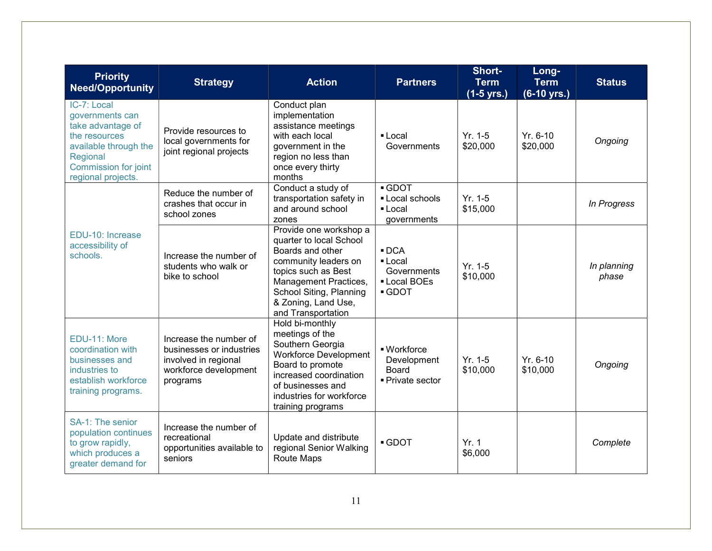| <b>Priority</b><br><b>Need/Opportunity</b>                                                                                                                     | <b>Strategy</b>                                                                                                 | <b>Action</b>                                                                                                                                                                                                         | <b>Partners</b>                                                                         | Short-<br><b>Term</b><br>$(1-5 \text{ yrs.})$ | Long-<br><b>Term</b><br>$(6-10 \text{ yrs.})$ | <b>Status</b>        |
|----------------------------------------------------------------------------------------------------------------------------------------------------------------|-----------------------------------------------------------------------------------------------------------------|-----------------------------------------------------------------------------------------------------------------------------------------------------------------------------------------------------------------------|-----------------------------------------------------------------------------------------|-----------------------------------------------|-----------------------------------------------|----------------------|
| IC-7: Local<br>governments can<br>take advantage of<br>the resources<br>available through the<br>Regional<br><b>Commission for joint</b><br>regional projects. | Provide resources to<br>local governments for<br>joint regional projects                                        | Conduct plan<br>implementation<br>assistance meetings<br>with each local<br>government in the<br>region no less than<br>once every thirty<br>months                                                                   | • Local<br>Governments                                                                  | $Yr. 1-5$<br>\$20,000                         | Yr. 6-10<br>\$20,000                          | Ongoing              |
|                                                                                                                                                                | Reduce the number of<br>crashes that occur in<br>school zones                                                   | Conduct a study of<br>transportation safety in<br>and around school<br>zones                                                                                                                                          | $\overline{\phantom{0}}$ GDOT<br>• Local schools<br>$\blacksquare$ Local<br>governments | $Yr. 1-5$<br>\$15,000                         |                                               | In Progress          |
| EDU-10: Increase<br>accessibility of<br>schools.                                                                                                               | Increase the number of<br>students who walk or<br>bike to school                                                | Provide one workshop a<br>quarter to local School<br>Boards and other<br>community leaders on<br>topics such as Best<br>Management Practices,<br>School Siting, Planning<br>& Zoning, Land Use,<br>and Transportation | $\blacksquare$ DCA<br>• Local<br>Governments<br>• Local BOEs<br>GDOT                    | $Yr. 1-5$<br>\$10,000                         |                                               | In planning<br>phase |
| EDU-11: More<br>coordination with<br>businesses and<br>industries to<br>establish workforce<br>training programs.                                              | Increase the number of<br>businesses or industries<br>involved in regional<br>workforce development<br>programs | Hold bi-monthly<br>meetings of the<br>Southern Georgia<br><b>Workforce Development</b><br>Board to promote<br>increased coordination<br>of businesses and<br>industries for workforce<br>training programs            | · Workforce<br>Development<br>Board<br>- Private sector                                 | $Yr. 1-5$<br>\$10,000                         | Yr. 6-10<br>\$10,000                          | Ongoing              |
| SA-1: The senior<br>population continues<br>to grow rapidly,<br>which produces a<br>greater demand for                                                         | Increase the number of<br>recreational<br>opportunities available to<br>seniors                                 | Update and distribute<br>regional Senior Walking<br>Route Maps                                                                                                                                                        | GDOT                                                                                    | Yr. 1<br>\$6,000                              |                                               | Complete             |